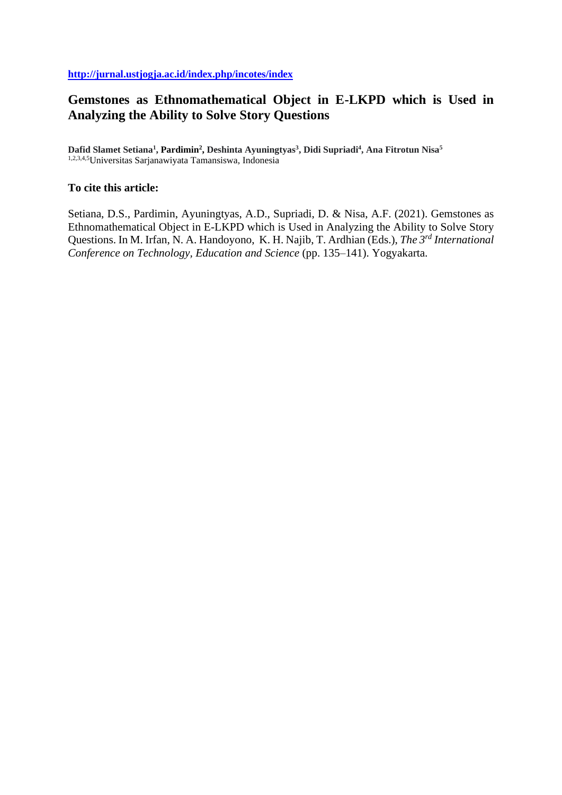# **Gemstones as Ethnomathematical Object in E-LKPD which is Used in Analyzing the Ability to Solve Story Questions**

**Dafid Slamet Setiana<sup>1</sup> , Pardimin<sup>2</sup> , Deshinta Ayuningtyas<sup>3</sup> , Didi Supriadi<sup>4</sup> , Ana Fitrotun Nisa<sup>5</sup>** 1,2,3,4,5Universitas Sarjanawiyata Tamansiswa, Indonesia

## **To cite this article:**

Setiana, D.S., Pardimin, Ayuningtyas, A.D., Supriadi, D. & Nisa, A.F. (2021). Gemstones as Ethnomathematical Object in E-LKPD which is Used in Analyzing the Ability to Solve Story Questions. In M. Irfan, N. A. Handoyono, K. H. Najib, T. Ardhian (Eds.), *The 3rd International Conference on Technology, Education and Science* (pp. 135–141). Yogyakarta.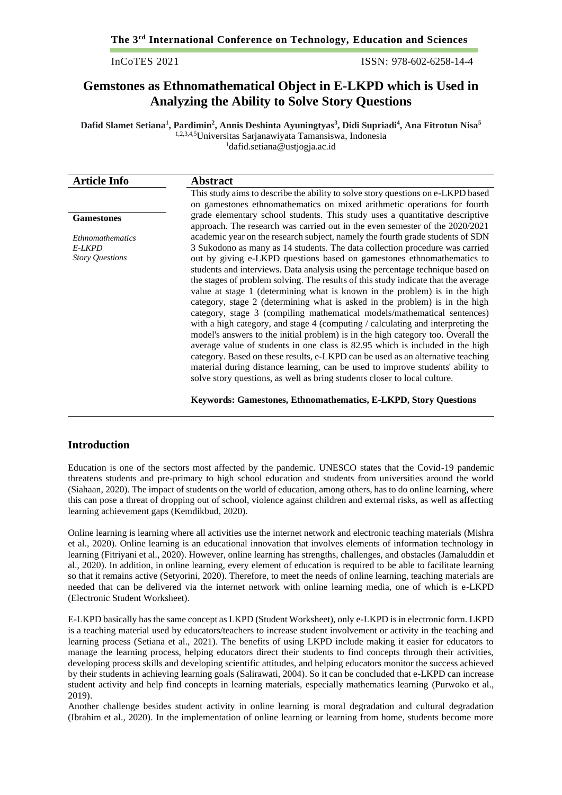InCoTES 2021 ISSN: 978-602-6258-14-4

# **Gemstones as Ethnomathematical Object in E-LKPD which is Used in Analyzing the Ability to Solve Story Questions**

**Dafid Slamet Setiana<sup>1</sup> , Pardimin<sup>2</sup> , Annis Deshinta Ayuningtyas<sup>3</sup> , Didi Supriadi<sup>4</sup> , Ana Fitrotun Nisa<sup>5</sup>** 1,2,3,4,5Universitas Sarjanawiyata Tamansiswa, Indonesia <sup>1</sup>[dafid.setiana@ustjogja.ac.id](mailto:dafid.setiana@ustjogja.ac.id)

| <b>Article Info</b>     | <b>Abstract</b>                                                                                                                                              |
|-------------------------|--------------------------------------------------------------------------------------------------------------------------------------------------------------|
|                         | This study aims to describe the ability to solve story questions on e-LKPD based                                                                             |
|                         | on gamestones ethnomathematics on mixed arithmetic operations for fourth                                                                                     |
| <b>Gamestones</b>       | grade elementary school students. This study uses a quantitative descriptive<br>approach. The research was carried out in the even semester of the 2020/2021 |
| <i>Ethnomathematics</i> | academic year on the research subject, namely the fourth grade students of SDN                                                                               |
| E-LKPD                  | 3 Sukodono as many as 14 students. The data collection procedure was carried                                                                                 |
| <b>Story Questions</b>  | out by giving e-LKPD questions based on gamestones ethnomathematics to                                                                                       |
|                         | students and interviews. Data analysis using the percentage technique based on                                                                               |
|                         | the stages of problem solving. The results of this study indicate that the average                                                                           |
|                         | value at stage 1 (determining what is known in the problem) is in the high                                                                                   |
|                         | category, stage 2 (determining what is asked in the problem) is in the high                                                                                  |
|                         | category, stage 3 (compiling mathematical models/mathematical sentences)                                                                                     |
|                         | with a high category, and stage 4 (computing / calculating and interpreting the                                                                              |
|                         | model's answers to the initial problem) is in the high category too. Overall the                                                                             |
|                         | average value of students in one class is 82.95 which is included in the high                                                                                |
|                         | category. Based on these results, e-LKPD can be used as an alternative teaching                                                                              |
|                         | material during distance learning, can be used to improve students' ability to                                                                               |
|                         | solve story questions, as well as bring students closer to local culture.                                                                                    |
|                         |                                                                                                                                                              |

**Keywords: Gamestones, Ethnomathematics, E-LKPD, Story Questions**

## **Introduction**

Education is one of the sectors most affected by the pandemic. UNESCO states that the Covid-19 pandemic threatens students and pre-primary to high school education and students from universities around the world (Siahaan, 2020). The impact of students on the world of education, among others, has to do online learning, where this can pose a threat of dropping out of school, violence against children and external risks, as well as affecting learning achievement gaps (Kemdikbud, 2020).

Online learning is learning where all activities use the internet network and electronic teaching materials (Mishra et al., 2020). Online learning is an educational innovation that involves elements of information technology in learning (Fitriyani et al., 2020). However, online learning has strengths, challenges, and obstacles (Jamaluddin et al., 2020). In addition, in online learning, every element of education is required to be able to facilitate learning so that it remains active (Setyorini, 2020). Therefore, to meet the needs of online learning, teaching materials are needed that can be delivered via the internet network with online learning media, one of which is e-LKPD (Electronic Student Worksheet).

E-LKPD basically has the same concept as LKPD (Student Worksheet), only e-LKPD is in electronic form. LKPD is a teaching material used by educators/teachers to increase student involvement or activity in the teaching and learning process (Setiana et al., 2021). The benefits of using LKPD include making it easier for educators to manage the learning process, helping educators direct their students to find concepts through their activities, developing process skills and developing scientific attitudes, and helping educators monitor the success achieved by their students in achieving learning goals (Salirawati, 2004). So it can be concluded that e-LKPD can increase student activity and help find concepts in learning materials, especially mathematics learning (Purwoko et al., 2019).

Another challenge besides student activity in online learning is moral degradation and cultural degradation (Ibrahim et al., 2020). In the implementation of online learning or learning from home, students become more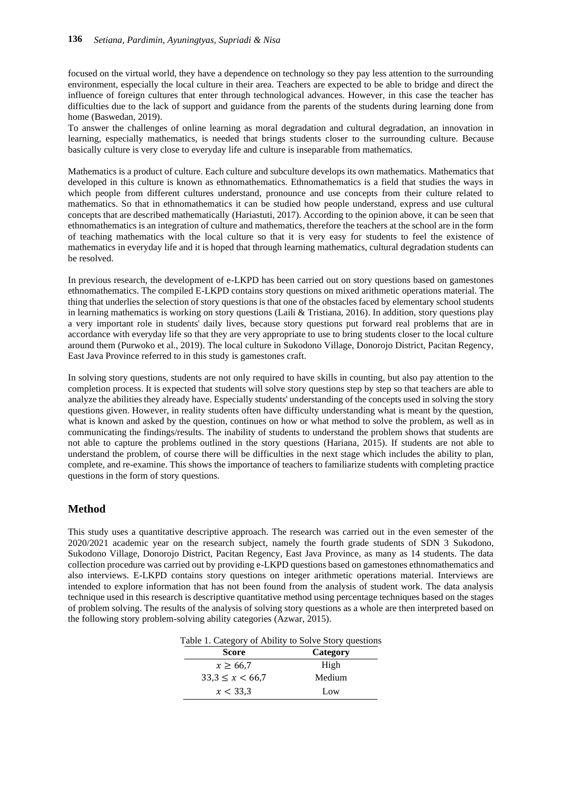focused on the virtual world, they have a dependence on technology so they pay less attention to the surrounding environment, especially the local culture in their area. Teachers are expected to be able to bridge and direct the influence of foreign cultures that enter through technological advances. However, in this case the teacher has difficulties due to the lack of support and guidance from the parents of the students during learning done from home (Baswedan, 2019).

To answer the challenges of online learning as moral degradation and cultural degradation, an innovation in learning, especially mathematics, is needed that brings students closer to the surrounding culture. Because basically culture is very close to everyday life and culture is inseparable from mathematics.

Mathematics is a product of culture. Each culture and subculture develops its own mathematics. Mathematics that developed in this culture is known as ethnomathematics. Ethnomathematics is a field that studies the ways in which people from different cultures understand, pronounce and use concepts from their culture related to mathematics. So that in ethnomathematics it can be studied how people understand, express and use cultural concepts that are described mathematically (Hariastuti, 2017). According to the opinion above, it can be seen that ethnomathematics is an integration of culture and mathematics, therefore the teachers at the school are in the form of teaching mathematics with the local culture so that it is very easy for students to feel the existence of mathematics in everyday life and it is hoped that through learning mathematics, cultural degradation students can be resolved.

In previous research, the development of e-LKPD has been carried out on story questions based on gamestones ethnomathematics. The compiled E-LKPD contains story questions on mixed arithmetic operations material. The thing that underlies the selection of story questions is that one of the obstacles faced by elementary school students in learning mathematics is working on story questions (Laili  $&$  Tristiana, 2016). In addition, story questions play a very important role in students' daily lives, because story questions put forward real problems that are in accordance with everyday life so that they are very appropriate to use to bring students closer to the local culture around them (Purwoko et al., 2019). The local culture in Sukodono Village, Donorojo District, Pacitan Regency, East Java Province referred to in this study is gamestones craft.

In solving story questions, students are not only required to have skills in counting, but also pay attention to the completion process. It is expected that students will solve story questions step by step so that teachers are able to analyze the abilities they already have. Especially students' understanding of the concepts used in solving the story questions given. However, in reality students often have difficulty understanding what is meant by the question, what is known and asked by the question, continues on how or what method to solve the problem, as well as in communicating the findings/results. The inability of students to understand the problem shows that students are not able to capture the problems outlined in the story questions (Hariana, 2015). If students are not able to understand the problem, of course there will be difficulties in the next stage which includes the ability to plan, complete, and re-examine. This shows the importance of teachers to familiarize students with completing practice questions in the form of story questions.

## **Method**

This study uses a quantitative descriptive approach. The research was carried out in the even semester of the 2020/2021 academic year on the research subject, namely the fourth grade students of SDN 3 Sukodono, Sukodono Village, Donorojo District, Pacitan Regency, East Java Province, as many as 14 students. The data collection procedure was carried out by providing e-LKPD questions based on gamestones ethnomathematics and also interviews. E-LKPD contains story questions on integer arithmetic operations material. Interviews are intended to explore information that has not been found from the analysis of student work. The data analysis technique used in this research is descriptive quantitative method using percentage techniques based on the stages of problem solving. The results of the analysis of solving story questions as a whole are then interpreted based on the following story problem-solving ability categories (Azwar, 2015).

Table 1. Category of Ability to Solve Story questions

| <b>Score</b>         | Category |
|----------------------|----------|
| $x \ge 66.7$         | High     |
| $33,3 \leq x < 66,7$ | Medium   |
| x < 33.3             | Low      |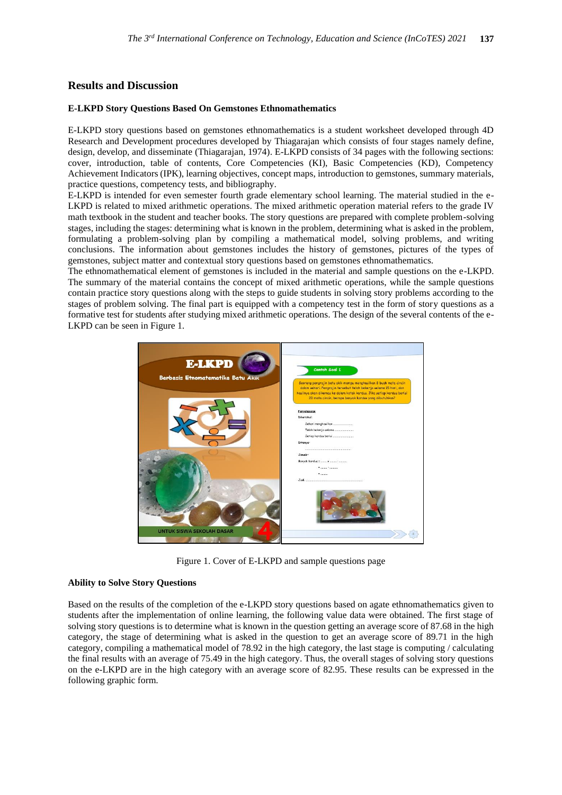## **Results and Discussion**

#### **E-LKPD Story Questions Based On Gemstones Ethnomathematics**

E-LKPD story questions based on gemstones ethnomathematics is a student worksheet developed through 4D Research and Development procedures developed by Thiagarajan which consists of four stages namely define, design, develop, and disseminate (Thiagarajan, 1974). E-LKPD consists of 34 pages with the following sections: cover, introduction, table of contents, Core Competencies (KI), Basic Competencies (KD), Competency Achievement Indicators (IPK), learning objectives, concept maps, introduction to gemstones, summary materials, practice questions, competency tests, and bibliography.

E-LKPD is intended for even semester fourth grade elementary school learning. The material studied in the e-LKPD is related to mixed arithmetic operations. The mixed arithmetic operation material refers to the grade IV math textbook in the student and teacher books. The story questions are prepared with complete problem-solving stages, including the stages: determining what is known in the problem, determining what is asked in the problem, formulating a problem-solving plan by compiling a mathematical model, solving problems, and writing conclusions. The information about gemstones includes the history of gemstones, pictures of the types of gemstones, subject matter and contextual story questions based on gemstones ethnomathematics.

The ethnomathematical element of gemstones is included in the material and sample questions on the e-LKPD. The summary of the material contains the concept of mixed arithmetic operations, while the sample questions contain practice story questions along with the steps to guide students in solving story problems according to the stages of problem solving. The final part is equipped with a competency test in the form of story questions as a formative test for students after studying mixed arithmetic operations. The design of the several contents of the e-LKPD can be seen in Figure 1.



Figure 1. Cover of E-LKPD and sample questions page

#### **Ability to Solve Story Questions**

Based on the results of the completion of the e-LKPD story questions based on agate ethnomathematics given to students after the implementation of online learning, the following value data were obtained. The first stage of solving story questions is to determine what is known in the question getting an average score of 87.68 in the high category, the stage of determining what is asked in the question to get an average score of 89.71 in the high category, compiling a mathematical model of 78.92 in the high category, the last stage is computing / calculating the final results with an average of 75.49 in the high category. Thus, the overall stages of solving story questions on the e-LKPD are in the high category with an average score of 82.95. These results can be expressed in the following graphic form.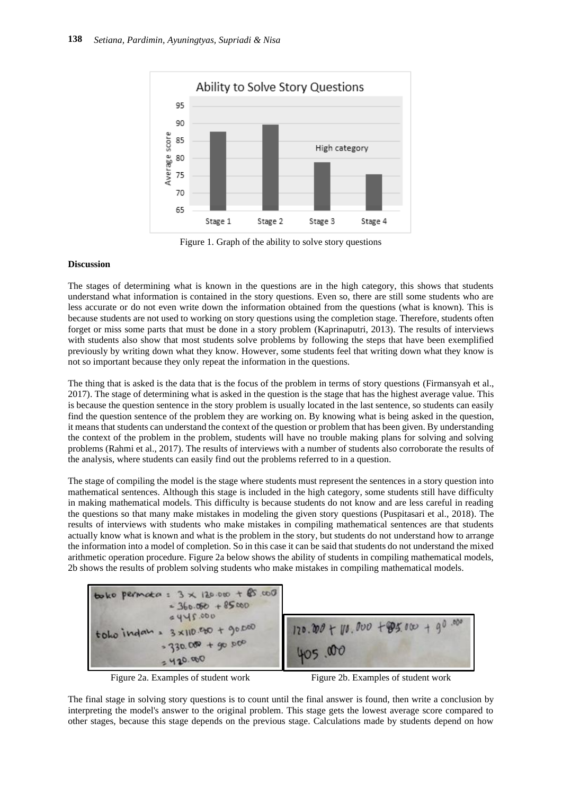

Figure 1. Graph of the ability to solve story questions

### **Discussion**

The stages of determining what is known in the questions are in the high category, this shows that students understand what information is contained in the story questions. Even so, there are still some students who are less accurate or do not even write down the information obtained from the questions (what is known). This is because students are not used to working on story questions using the completion stage. Therefore, students often forget or miss some parts that must be done in a story problem (Kaprinaputri, 2013). The results of interviews with students also show that most students solve problems by following the steps that have been exemplified previously by writing down what they know. However, some students feel that writing down what they know is not so important because they only repeat the information in the questions.

The thing that is asked is the data that is the focus of the problem in terms of story questions (Firmansyah et al., 2017). The stage of determining what is asked in the question is the stage that has the highest average value. This is because the question sentence in the story problem is usually located in the last sentence, so students can easily find the question sentence of the problem they are working on. By knowing what is being asked in the question, it means that students can understand the context of the question or problem that has been given. By understanding the context of the problem in the problem, students will have no trouble making plans for solving and solving problems (Rahmi et al., 2017). The results of interviews with a number of students also corroborate the results of the analysis, where students can easily find out the problems referred to in a question.

The stage of compiling the model is the stage where students must represent the sentences in a story question into mathematical sentences. Although this stage is included in the high category, some students still have difficulty in making mathematical models. This difficulty is because students do not know and are less careful in reading the questions so that many make mistakes in modeling the given story questions (Puspitasari et al., 2018). The results of interviews with students who make mistakes in compiling mathematical sentences are that students actually know what is known and what is the problem in the story, but students do not understand how to arrange the information into a model of completion. So in this case it can be said that students do not understand the mixed arithmetic operation procedure. Figure 2a below shows the ability of students in compiling mathematical models, 2b shows the results of problem solving students who make mistakes in compiling mathematical models.





Figure 2a. Examples of student work Figure 2b. Examples of student work

The final stage in solving story questions is to count until the final answer is found, then write a conclusion by interpreting the model's answer to the original problem. This stage gets the lowest average score compared to other stages, because this stage depends on the previous stage. Calculations made by students depend on how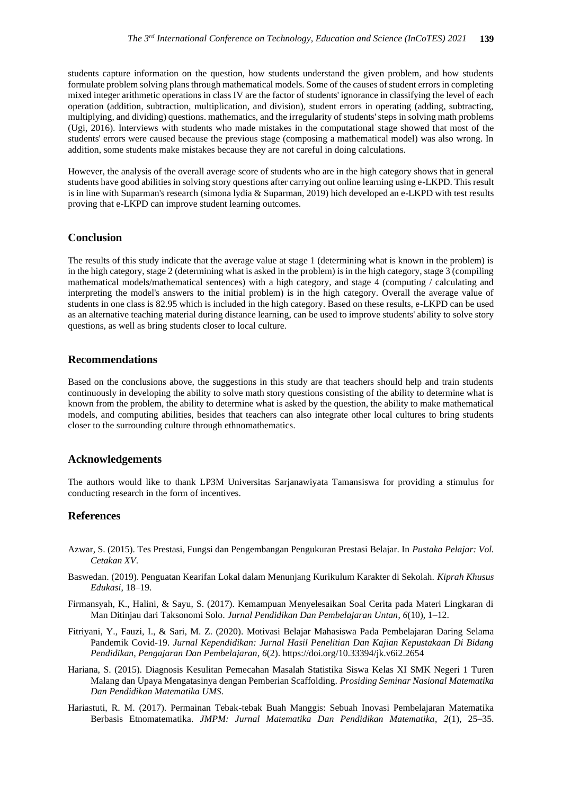students capture information on the question, how students understand the given problem, and how students formulate problem solving plans through mathematical models. Some of the causes of student errors in completing mixed integer arithmetic operations in class IV are the factor of students' ignorance in classifying the level of each operation (addition, subtraction, multiplication, and division), student errors in operating (adding, subtracting, multiplying, and dividing) questions. mathematics, and the irregularity of students' steps in solving math problems (Ugi, 2016). Interviews with students who made mistakes in the computational stage showed that most of the students' errors were caused because the previous stage (composing a mathematical model) was also wrong. In addition, some students make mistakes because they are not careful in doing calculations.

However, the analysis of the overall average score of students who are in the high category shows that in general students have good abilities in solving story questions after carrying out online learning using e-LKPD. This result is in line with Suparman's research (simona lydia & Suparman, 2019) hich developed an e-LKPD with test results proving that e-LKPD can improve student learning outcomes.

## **Conclusion**

The results of this study indicate that the average value at stage 1 (determining what is known in the problem) is in the high category, stage 2 (determining what is asked in the problem) is in the high category, stage 3 (compiling mathematical models/mathematical sentences) with a high category, and stage 4 (computing / calculating and interpreting the model's answers to the initial problem) is in the high category. Overall the average value of students in one class is 82.95 which is included in the high category. Based on these results, e-LKPD can be used as an alternative teaching material during distance learning, can be used to improve students' ability to solve story questions, as well as bring students closer to local culture.

#### **Recommendations**

Based on the conclusions above, the suggestions in this study are that teachers should help and train students continuously in developing the ability to solve math story questions consisting of the ability to determine what is known from the problem, the ability to determine what is asked by the question, the ability to make mathematical models, and computing abilities, besides that teachers can also integrate other local cultures to bring students closer to the surrounding culture through ethnomathematics.

## **Acknowledgements**

The authors would like to thank LP3M Universitas Sarjanawiyata Tamansiswa for providing a stimulus for conducting research in the form of incentives.

#### **References**

- Azwar, S. (2015). Tes Prestasi, Fungsi dan Pengembangan Pengukuran Prestasi Belajar. In *Pustaka Pelajar: Vol. Cetakan XV*.
- Baswedan. (2019). Penguatan Kearifan Lokal dalam Menunjang Kurikulum Karakter di Sekolah. *Kiprah Khusus Edukasi*, 18–19.
- Firmansyah, K., Halini, & Sayu, S. (2017). Kemampuan Menyelesaikan Soal Cerita pada Materi Lingkaran di Man Ditinjau dari Taksonomi Solo. *Jurnal Pendidikan Dan Pembelajaran Untan*, *6*(10), 1–12.
- Fitriyani, Y., Fauzi, I., & Sari, M. Z. (2020). Motivasi Belajar Mahasiswa Pada Pembelajaran Daring Selama Pandemik Covid-19. *Jurnal Kependidikan: Jurnal Hasil Penelitian Dan Kajian Kepustakaan Di Bidang Pendidikan, Pengajaran Dan Pembelajaran*, *6*(2). https://doi.org/10.33394/jk.v6i2.2654
- Hariana, S. (2015). Diagnosis Kesulitan Pemecahan Masalah Statistika Siswa Kelas XI SMK Negeri 1 Turen Malang dan Upaya Mengatasinya dengan Pemberian Scaffolding. *Prosiding Seminar Nasional Matematika Dan Pendidikan Matematika UMS*.
- Hariastuti, R. M. (2017). Permainan Tebak-tebak Buah Manggis: Sebuah Inovasi Pembelajaran Matematika Berbasis Etnomatematika. *JMPM: Jurnal Matematika Dan Pendidikan Matematika*, *2*(1), 25–35.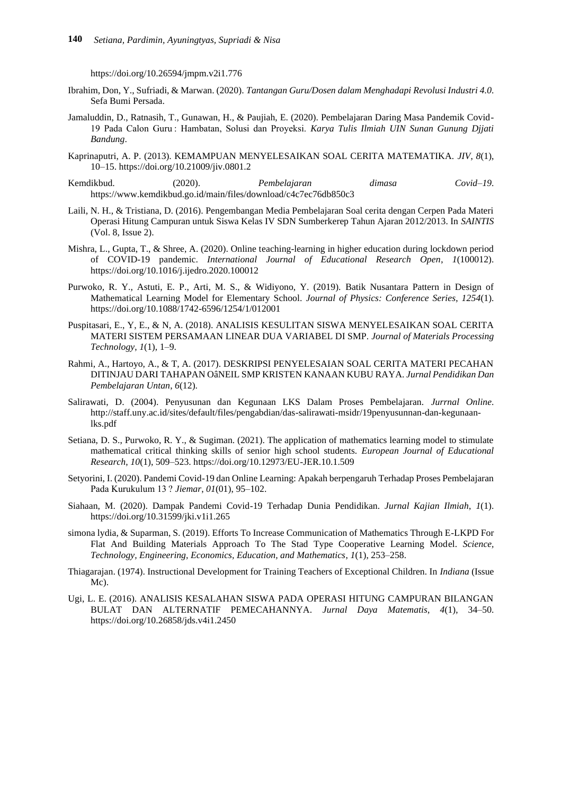https://doi.org/10.26594/jmpm.v2i1.776

- Ibrahim, Don, Y., Sufriadi, & Marwan. (2020). *Tantangan Guru/Dosen dalam Menghadapi Revolusi Industri 4.0*. Sefa Bumi Persada.
- Jamaluddin, D., Ratnasih, T., Gunawan, H., & Paujiah, E. (2020). Pembelajaran Daring Masa Pandemik Covid-19 Pada Calon Guru : Hambatan, Solusi dan Proyeksi. *Karya Tulis Ilmiah UIN Sunan Gunung Djjati Bandung*.
- Kaprinaputri, A. P. (2013). KEMAMPUAN MENYELESAIKAN SOAL CERITA MATEMATIKA. *JIV*, *8*(1), 10–15. https://doi.org/10.21009/jiv.0801.2
- Kemdikbud. (2020). *Pembelajaran dimasa Covid–19*. https://www.kemdikbud.go.id/main/files/download/c4c7ec76db850c3
- Laili, N. H., & Tristiana, D. (2016). Pengembangan Media Pembelajaran Soal cerita dengan Cerpen Pada Materi Operasi Hitung Campuran untuk Siswa Kelas IV SDN Sumberkerep Tahun Ajaran 2012/2013. In *SAINTIS* (Vol. 8, Issue 2).
- Mishra, L., Gupta, T., & Shree, A. (2020). Online teaching-learning in higher education during lockdown period of COVID-19 pandemic. *International Journal of Educational Research Open*, *1*(100012). https://doi.org/10.1016/j.ijedro.2020.100012
- Purwoko, R. Y., Astuti, E. P., Arti, M. S., & Widiyono, Y. (2019). Batik Nusantara Pattern in Design of Mathematical Learning Model for Elementary School. *Journal of Physics: Conference Series*, *1254*(1). https://doi.org/10.1088/1742-6596/1254/1/012001
- Puspitasari, E., Y, E., & N, A. (2018). ANALISIS KESULITAN SISWA MENYELESAIKAN SOAL CERITA MATERI SISTEM PERSAMAAN LINEAR DUA VARIABEL DI SMP. *Journal of Materials Processing Technology*, *1*(1), 1–9.
- Rahmi, A., Hartoyo, A., & T, A. (2017). DESKRIPSI PENYELESAIAN SOAL CERITA MATERI PECAHAN DITINJAU DARI TAHAPAN OâNEIL SMP KRISTEN KANAAN KUBU RAYA. *Jurnal Pendidikan Dan Pembelajaran Untan*, *6*(12).
- Salirawati, D. (2004). Penyusunan dan Kegunaan LKS Dalam Proses Pembelajaran. *Jurrnal Online*. http://staff.uny.ac.id/sites/default/files/pengabdian/das-salirawati-msidr/19penyusunnan-dan-kegunaanlks.pdf
- Setiana, D. S., Purwoko, R. Y., & Sugiman. (2021). The application of mathematics learning model to stimulate mathematical critical thinking skills of senior high school students. *European Journal of Educational Research*, *10*(1), 509–523. https://doi.org/10.12973/EU-JER.10.1.509
- Setyorini, I. (2020). Pandemi Covid-19 dan Online Learning: Apakah berpengaruh Terhadap Proses Pembelajaran Pada Kurukulum 13 ? *Jiemar*, *01*(01), 95–102.
- Siahaan, M. (2020). Dampak Pandemi Covid-19 Terhadap Dunia Pendidikan. *Jurnal Kajian Ilmiah*, *1*(1). https://doi.org/10.31599/jki.v1i1.265
- simona lydia, & Suparman, S. (2019). Efforts To Increase Communication of Mathematics Through E-LKPD For Flat And Building Materials Approach To The Stad Type Cooperative Learning Model. *Science, Technology, Engineering, Economics, Education, and Mathematics*, *1*(1), 253–258.
- Thiagarajan. (1974). Instructional Development for Training Teachers of Exceptional Children. In *Indiana* (Issue Mc).
- Ugi, L. E. (2016). ANALISIS KESALAHAN SISWA PADA OPERASI HITUNG CAMPURAN BILANGAN BULAT DAN ALTERNATIF PEMECAHANNYA. *Jurnal Daya Matematis*, *4*(1), 34–50. https://doi.org/10.26858/jds.v4i1.2450